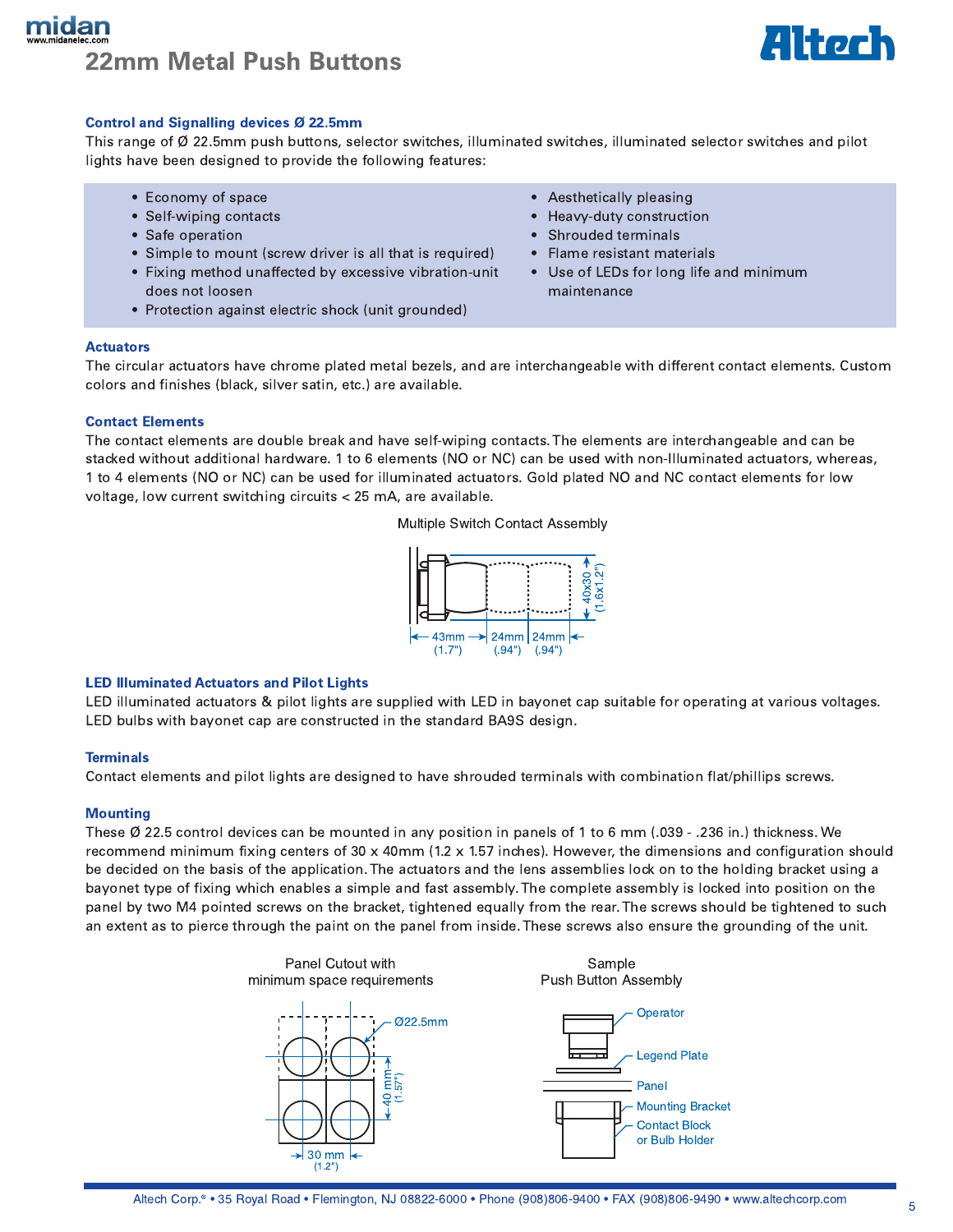# mıdal **22mm Metal Push Buttons**



### Control and Signalling devices Ø 22.5mm

This range of  $\emptyset$  22.5mm push buttons, selector switches, illuminated switches, illuminated selector switches and pilot lights have been designed to provide the following features:

- Economy of space
- Self-wiping contacts
- Safe operation
- Simple to mount (screw driver is all that is required)
- Fixing method unaffected by excessive vibration-unit does not loosen
- Protection against electric shock (unit grounded)
- Aesthetically pleasing
- Heavy-duty construction
- Shrouded terminals
- Flame resistant materials  $\bullet$
- Use of LEDs for long life and minimum maintenance

#### **Actuators**

The circular actuators have chrome plated metal bezels, and are interchangeable with different contact elements. Custom colors and finishes (black, silver satin, etc.) are available.

#### **Contact Elements**

The contact elements are double break and have self-wiping contacts. The elements are interchangeable and can be stacked without additional hardware. 1 to 6 elements (NO or NC) can be used with non-Illuminated actuators, whereas, 1 to 4 elements (NO or NC) can be used for illuminated actuators. Gold plated NO and NC contact elements for low voltage, low current switching circuits < 25 mA, are available.

Multiple Switch Contact Assembly



### **LED Illuminated Actuators and Pilot Lights**

LED illuminated actuators & pilot lights are supplied with LED in bayonet cap suitable for operating at various voltages. LED bulbs with bayonet cap are constructed in the standard BA9S design.

### **Terminals**

Contact elements and pilot lights are designed to have shrouded terminals with combination flat/phillips screws.

### **Mounting**

These  $\emptyset$  22.5 control devices can be mounted in any position in panels of 1 to 6 mm (.039 - .236 in.) thickness. We recommend minimum fixing centers of 30 x 40mm (1.2 x 1.57 inches). However, the dimensions and configuration should be decided on the basis of the application. The actuators and the lens assemblies lock on to the holding bracket using a bayonet type of fixing which enables a simple and fast assembly. The complete assembly is locked into position on the panel by two M4 pointed screws on the bracket, tightened equally from the rear. The screws should be tightened to such an extent as to pierce through the paint on the panel from inside. These screws also ensure the grounding of the unit.

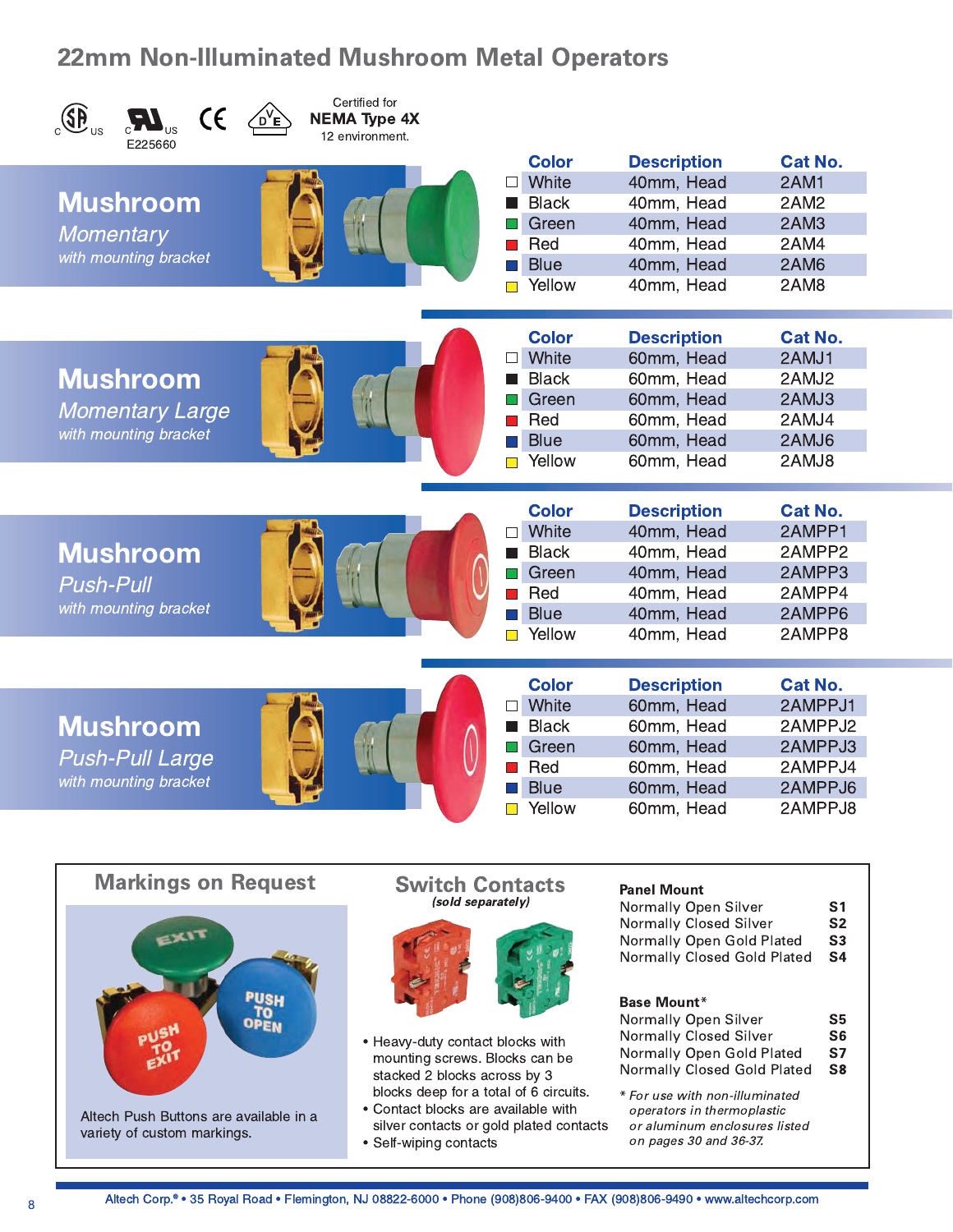# **22mm Non-Illuminated Mushroom Metal Operators**



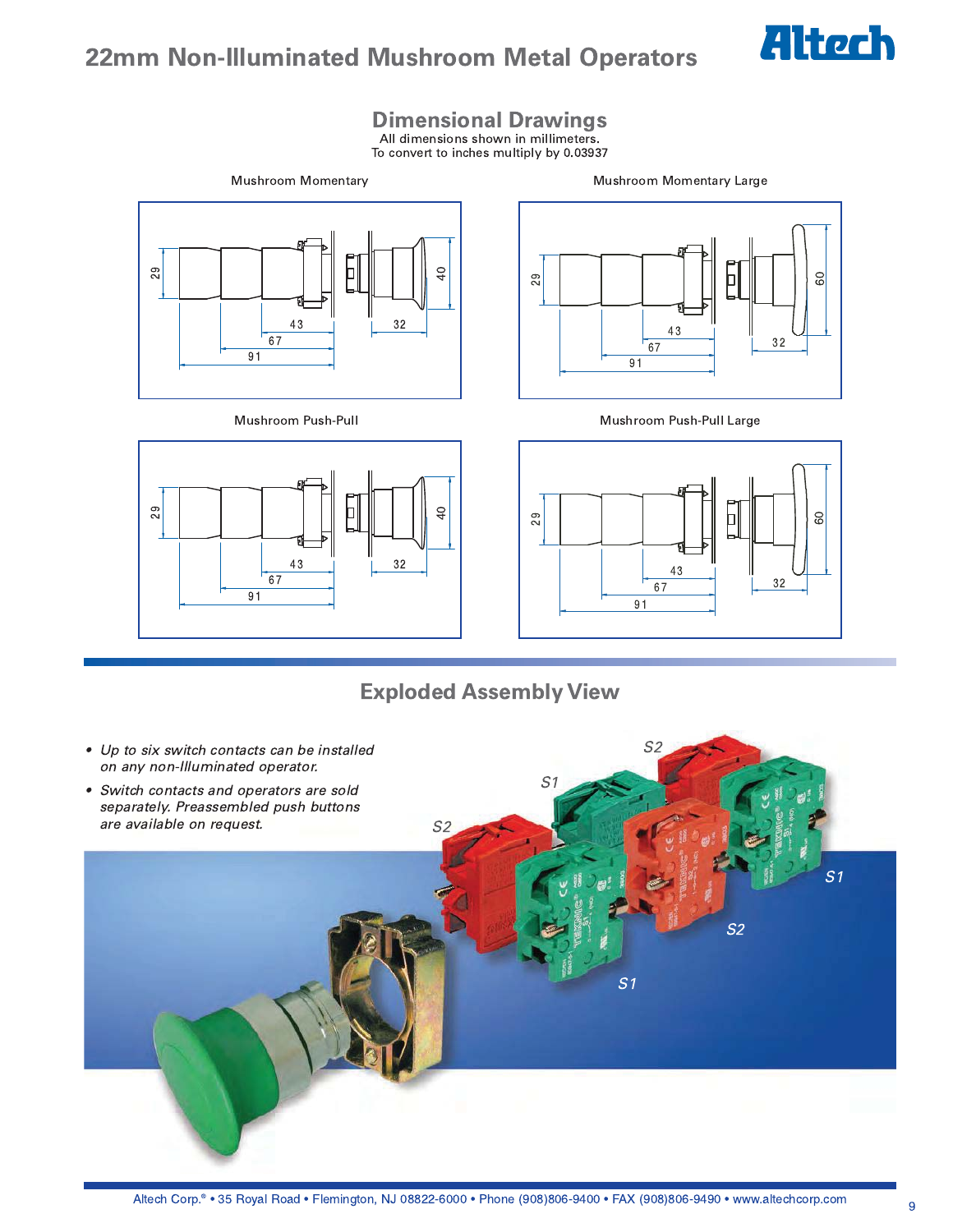

## **22mm Non-Illuminated Mushroom Metal Operators**

**Dimensional Drawings**<br>All dimensions shown in millimeters.

To convert to inches multiply by 0.03937







### Mushroom Push-Pull



Mushroom Push-Pull Large



### **Exploded Assembly View**